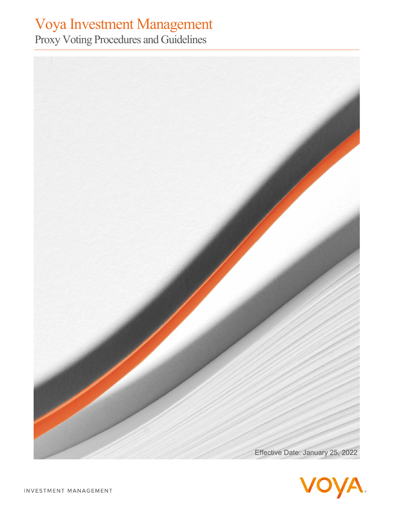# Voya Investment Management

Proxy Voting Procedures and Guidelines



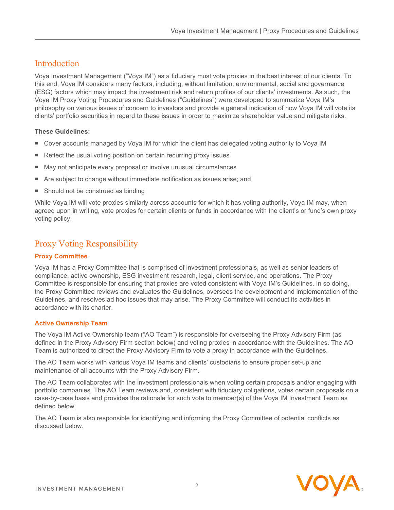# Introduction

Voya Investment Management ("Voya IM") as a fiduciary must vote proxies in the best interest of our clients. To this end, Voya IM considers many factors, including, without limitation, environmental, social and governance (ESG) factors which may impact the investment risk and return profiles of our clients' investments. As such, the Voya IM Proxy Voting Procedures and Guidelines ("Guidelines") were developed to summarize Voya IM's philosophy on various issues of concern to investors and provide a general indication of how Voya IM will vote its clients' portfolio securities in regard to these issues in order to maximize shareholder value and mitigate risks.

# **These Guidelines:**

- Cover accounts managed by Voya IM for which the client has delegated voting authority to Voya IM
- Reflect the usual voting position on certain recurring proxy issues
- May not anticipate every proposal or involve unusual circumstances
- Are subject to change without immediate notification as issues arise; and
- Should not be construed as binding

While Voya IM will vote proxies similarly across accounts for which it has voting authority, Voya IM may, when agreed upon in writing, vote proxies for certain clients or funds in accordance with the client's or fund's own proxy voting policy.

# Proxy Voting Responsibility

# **Proxy Committee**

Voya IM has a Proxy Committee that is comprised of investment professionals, as well as senior leaders of compliance, active ownership, ESG investment research, legal, client service, and operations. The Proxy Committee is responsible for ensuring that proxies are voted consistent with Voya IM's Guidelines. In so doing, the Proxy Committee reviews and evaluates the Guidelines, oversees the development and implementation of the Guidelines, and resolves ad hoc issues that may arise. The Proxy Committee will conduct its activities in accordance with its charter.

# **Active Ownership Team**

The Voya IM Active Ownership team ("AO Team") is responsible for overseeing the Proxy Advisory Firm (as defined in the Proxy Advisory Firm section below) and voting proxies in accordance with the Guidelines. The AO Team is authorized to direct the Proxy Advisory Firm to vote a proxy in accordance with the Guidelines.

The AO Team works with various Voya IM teams and clients' custodians to ensure proper set-up and maintenance of all accounts with the Proxy Advisory Firm.

The AO Team collaborates with the investment professionals when voting certain proposals and/or engaging with portfolio companies. The AO Team reviews and, consistent with fiduciary obligations, votes certain proposals on a case-by-case basis and provides the rationale for such vote to member(s) of the Voya IM Investment Team as defined below.

The AO Team is also responsible for identifying and informing the Proxy Committee of potential conflicts as discussed below.

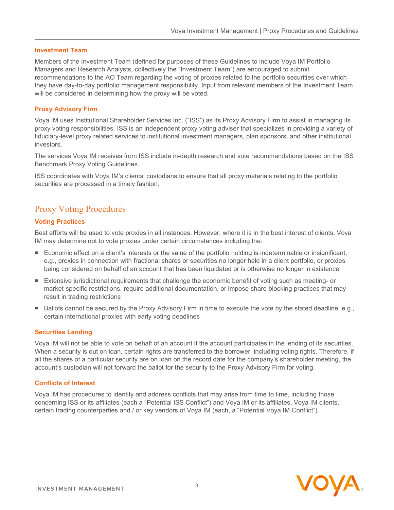#### **Investment Team**

Members of the Investment Team (defined for purposes of these Guidelines to include Voya IM Portfolio Managers and Research Analysts, collectively the "Investment Team") are encouraged to submit recommendations to the AO Team regarding the voting of proxies related to the portfolio securities over which they have day-to-day portfolio management responsibility. Input from relevant members of the Investment Team will be considered in determining how the proxy will be voted.

#### **Proxy Advisory Firm**

Voya IM uses Institutional Shareholder Services Inc. ("ISS") as its Proxy Advisory Firm to assist in managing its proxy voting responsibilities. ISS is an independent proxy voting adviser that specializes in providing a variety of fiduciary-level proxy related services to institutional investment managers, plan sponsors, and other institutional investors.

The services Voya IM receives from ISS include in-depth research and vote recommendations based on the ISS Benchmark Proxy Voting Guidelines.

ISS coordinates with Voya IM's clients' custodians to ensure that all proxy materials relating to the portfolio securities are processed in a timely fashion.

# Proxy Voting Procedures

# **Voting Practices**

Best efforts will be used to vote proxies in all instances. However, where it is in the best interest of clients, Voya IM may determine not to vote proxies under certain circumstances including the:

- Economic effect on a client's interests or the value of the portfolio holding is indeterminable or insignificant, e.g., proxies in connection with fractional shares or securities no longer held in a client portfolio, or proxies being considered on behalf of an account that has been liquidated or is otherwise no longer in existence
- Extensive jurisdictional requirements that challenge the economic benefit of voting such as meeting- or market-specific restrictions, require additional documentation, or impose share blocking practices that may result in trading restrictions
- Ballots cannot be secured by the Proxy Advisory Firm in time to execute the vote by the stated deadline, e.g., certain international proxies with early voting deadlines

#### **Securities Lending**

Voya IM will not be able to vote on behalf of an account if the account participates in the lending of its securities. When a security is out on loan, certain rights are transferred to the borrower, including voting rights. Therefore, if all the shares of a particular security are on loan on the record date for the company's shareholder meeting, the account's custodian will not forward the ballot for the security to the Proxy Advisory Firm for voting.

#### **Conflicts of Interest**

Voya IM has procedures to identify and address conflicts that may arise from time to time, including those concerning ISS or its affiliates (each a "Potential ISS Conflict") and Voya IM or its affiliates, Voya IM clients, certain trading counterparties and / or key vendors of Voya IM (each, a "Potential Voya IM Conflict").

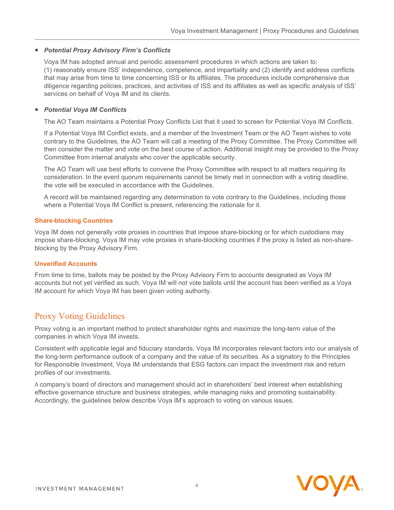#### *Potential Proxy Advisory Firm's Conflicts*

Voya IM has adopted annual and periodic assessment procedures in which actions are taken to: (1) reasonably ensure ISS' independence, competence, and impartiality and (2) identify and address conflicts that may arise from time to time concerning ISS or its affiliates. The procedures include comprehensive due diligence regarding policies, practices, and activities of ISS and its affiliates as well as specific analysis of ISS' services on behalf of Voya IM and its clients.

#### *Potential Voya IM Conflicts*

The AO Team maintains a Potential Proxy Conflicts List that it used to screen for Potential Voya IM Conflicts.

If a Potential Voya IM Conflict exists, and a member of the Investment Team or the AO Team wishes to vote contrary to the Guidelines, the AO Team will call a meeting of the Proxy Committee. The Proxy Committee will then consider the matter and vote on the best course of action. Additional insight may be provided to the Proxy Committee from internal analysts who cover the applicable security.

The AO Team will use best efforts to convene the Proxy Committee with respect to all matters requiring its consideration. In the event quorum requirements cannot be timely met in connection with a voting deadline, the vote will be executed in accordance with the Guidelines.

A record will be maintained regarding any determination to vote contrary to the Guidelines, including those where a Potential Voya IM Conflict is present, referencing the rationale for it.

#### **Share-blocking Countries**

Voya IM does not generally vote proxies in countries that impose share-blocking or for which custodians may impose share-blocking. Voya IM may vote proxies in share-blocking countries if the proxy is listed as non-shareblocking by the Proxy Advisory Firm.

#### **Unverified Accounts**

From time to time, ballots may be posted by the Proxy Advisory Firm to accounts designated as Voya IM accounts but not yet verified as such. Voya IM will not vote ballots until the account has been verified as a Voya IM account for which Voya IM has been given voting authority.

# Proxy Voting Guidelines

Proxy voting is an important method to protect shareholder rights and maximize the long-term value of the companies in which Voya IM invests.

Consistent with applicable legal and fiduciary standards, Voya IM incorporates relevant factors into our analysis of the long-term performance outlook of a company and the value of its securities. As a signatory to the Principles for Responsible Investment, Voya IM understands that ESG factors can impact the investment risk and return profiles of our investments.

A company's board of directors and management should act in shareholders' best interest when establishing effective governance structure and business strategies, while managing risks and promoting sustainability. Accordingly, the guidelines below describe Voya IM's approach to voting on various issues.

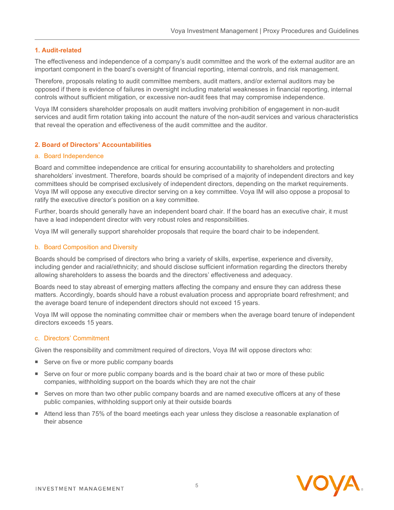#### **1. Audit-related**

The effectiveness and independence of a company's audit committee and the work of the external auditor are an important component in the board's oversight of financial reporting, internal controls, and risk management.

Therefore, proposals relating to audit committee members, audit matters, and/or external auditors may be opposed if there is evidence of failures in oversight including material weaknesses in financial reporting, internal controls without sufficient mitigation, or excessive non-audit fees that may compromise independence.

Voya IM considers shareholder proposals on audit matters involving prohibition of engagement in non-audit services and audit firm rotation taking into account the nature of the non-audit services and various characteristics that reveal the operation and effectiveness of the audit committee and the auditor.

#### **2. Board of Directors' Accountabilities**

#### a. Board Independence

Board and committee independence are critical for ensuring accountability to shareholders and protecting shareholders' investment. Therefore, boards should be comprised of a majority of independent directors and key committees should be comprised exclusively of independent directors, depending on the market requirements. Voya IM will oppose any executive director serving on a key committee. Voya IM will also oppose a proposal to ratify the executive director's position on a key committee.

Further, boards should generally have an independent board chair. If the board has an executive chair, it must have a lead independent director with very robust roles and responsibilities.

Voya IM will generally support shareholder proposals that require the board chair to be independent.

#### b. Board Composition and Diversity

Boards should be comprised of directors who bring a variety of skills, expertise, experience and diversity, including gender and racial/ethnicity; and should disclose sufficient information regarding the directors thereby allowing shareholders to assess the boards and the directors' effectiveness and adequacy.

Boards need to stay abreast of emerging matters affecting the company and ensure they can address these matters. Accordingly, boards should have a robust evaluation process and appropriate board refreshment; and the average board tenure of independent directors should not exceed 15 years.

Voya IM will oppose the nominating committee chair or members when the average board tenure of independent directors exceeds 15 years.

#### c. Directors' Commitment

Given the responsibility and commitment required of directors, Voya IM will oppose directors who:

- Serve on five or more public company boards
- Serve on four or more public company boards and is the board chair at two or more of these public companies, withholding support on the boards which they are not the chair
- Serves on more than two other public company boards and are named executive officers at any of these public companies, withholding support only at their outside boards
- Attend less than 75% of the board meetings each year unless they disclose a reasonable explanation of their absence

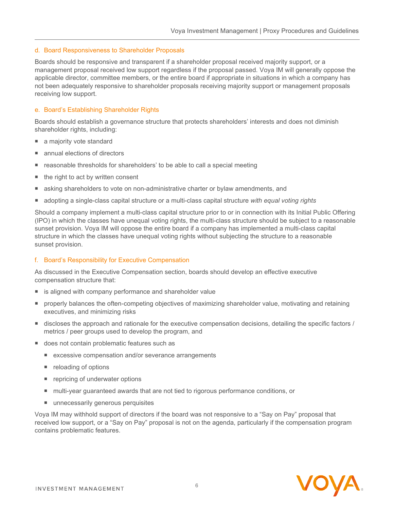#### d. Board Responsiveness to Shareholder Proposals

Boards should be responsive and transparent if a shareholder proposal received majority support, or a management proposal received low support regardless if the proposal passed. Voya IM will generally oppose the applicable director, committee members, or the entire board if appropriate in situations in which a company has not been adequately responsive to shareholder proposals receiving majority support or management proposals receiving low support.

#### e. Board's Establishing Shareholder Rights

Boards should establish a governance structure that protects shareholders' interests and does not diminish shareholder rights, including:

- a majority vote standard
- annual elections of directors
- reasonable thresholds for shareholders' to be able to call a special meeting
- the right to act by written consent
- asking shareholders to vote on non-administrative charter or bylaw amendments, and
- adopting a single-class capital structure or a multi-class capital structure *with equal voting rights*

Should a company implement a multi-class capital structure prior to or in connection with its Initial Public Offering (IPO) in which the classes have unequal voting rights, the multi-class structure should be subject to a reasonable sunset provision. Voya IM will oppose the entire board if a company has implemented a multi-class capital structure in which the classes have unequal voting rights without subjecting the structure to a reasonable sunset provision.

#### f. Board's Responsibility for Executive Compensation

As discussed in the Executive Compensation section, boards should develop an effective executive compensation structure that:

- is aligned with company performance and shareholder value
- properly balances the often-competing objectives of maximizing shareholder value, motivating and retaining executives, and minimizing risks
- discloses the approach and rationale for the executive compensation decisions, detailing the specific factors / metrics / peer groups used to develop the program, and
- does not contain problematic features such as
	- excessive compensation and/or severance arrangements
	- reloading of options
	- **Part Prepricing of underwater options**
	- multi-year guaranteed awards that are not tied to rigorous performance conditions, or
	- unnecessarily generous perquisites

Voya IM may withhold support of directors if the board was not responsive to a "Say on Pay" proposal that received low support, or a "Say on Pay" proposal is not on the agenda, particularly if the compensation program contains problematic features.

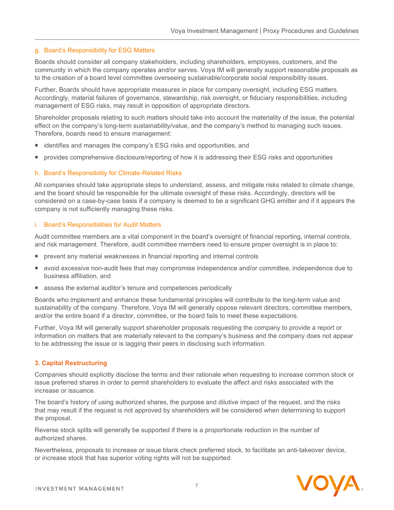#### g. Board's Responsibility for ESG Matters

Boards should consider all company stakeholders, including shareholders, employees, customers, and the community in which the company operates and/or serves. Voya IM will generally support reasonable proposals as to the creation of a board level committee overseeing sustainable/corporate social responsibility issues.

Further, Boards should have appropriate measures in place for company oversight, including ESG matters. Accordingly, material failures of governance, stewardship, risk oversight, or fiduciary responsibilities, including management of ESG risks, may result in opposition of appropriate directors.

Shareholder proposals relating to such matters should take into account the materiality of the issue, the potential effect on the company's long-term sustainability/value, and the company's method to managing such issues. Therefore, boards need to ensure management:

- identifies and manages the company's ESG risks and opportunities, and
- provides comprehensive disclosure/reporting of how it is addressing their ESG risks and opportunities

#### h. Board's Responsibility for Climate-Related Risks

All companies should take appropriate steps to understand, assess, and mitigate risks related to climate change, and the board should be responsible for the ultimate oversight of these risks. Accordingly, directors will be considered on a case-by-case basis if a company is deemed to be a significant GHG emitter and if it appears the company is not sufficiently managing these risks.

#### i. Board's Responsibilities for Audit Matters

Audit committee members are a vital component in the board's oversight of financial reporting, internal controls, and risk management. Therefore, audit committee members need to ensure proper oversight is in place to:

- prevent any material weaknesses in financial reporting and internal controls
- avoid excessive non-audit fees that may compromise independence and/or committee, independence due to business affiliation, and
- assess the external auditor's tenure and competences periodically

Boards who implement and enhance these fundamental principles will contribute to the long-term value and sustainability of the company. Therefore, Voya IM will generally oppose relevant directors, committee members, and/or the entire board if a director, committee, or the board fails to meet these expectations.

Further, Voya IM will generally support shareholder proposals requesting the company to provide a report or information on matters that are materially relevant to the company's business and the company does not appear to be addressing the issue or is lagging their peers in disclosing such information.

# **3. Capital Restructuring**

Companies should explicitly disclose the terms and their rationale when requesting to increase common stock or issue preferred shares in order to permit shareholders to evaluate the affect and risks associated with the increase or issuance.

The board's history of using authorized shares, the purpose and dilutive impact of the request, and the risks that may result if the request is not approved by shareholders will be considered when determining to support the proposal.

Reverse stock splits will generally be supported if there is a proportionate reduction in the number of authorized shares.

Nevertheless, proposals to increase or issue blank check preferred stock, to facilitate an anti-takeover device, or increase stock that has superior voting rights will not be supported.

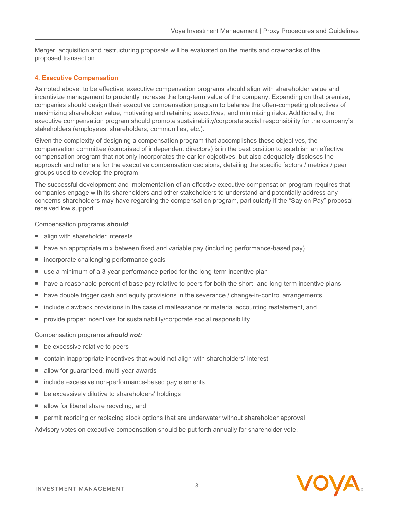Merger, acquisition and restructuring proposals will be evaluated on the merits and drawbacks of the proposed transaction.

### **4. Executive Compensation**

As noted above, to be effective, executive compensation programs should align with shareholder value and incentivize management to prudently increase the long-term value of the company. Expanding on that premise, companies should design their executive compensation program to balance the often-competing objectives of maximizing shareholder value, motivating and retaining executives, and minimizing risks. Additionally, the executive compensation program should promote sustainability/corporate social responsibility for the company's stakeholders (employees, shareholders, communities, etc.).

Given the complexity of designing a compensation program that accomplishes these objectives, the compensation committee (comprised of independent directors) is in the best position to establish an effective compensation program that not only incorporates the earlier objectives, but also adequately discloses the approach and rationale for the executive compensation decisions, detailing the specific factors / metrics / peer groups used to develop the program.

The successful development and implementation of an effective executive compensation program requires that companies engage with its shareholders and other stakeholders to understand and potentially address any concerns shareholders may have regarding the compensation program, particularly if the "Say on Pay" proposal received low support.

#### Compensation programs *should*:

- align with shareholder interests
- have an appropriate mix between fixed and variable pay (including performance-based pay)
- incorporate challenging performance goals
- use a minimum of a 3-year performance period for the long-term incentive plan
- have a reasonable percent of base pay relative to peers for both the short- and long-term incentive plans
- **have double trigger cash and equity provisions in the severance / change-in-control arrangements**
- include clawback provisions in the case of malfeasance or material accounting restatement, and
- **provide proper incentives for sustainability/corporate social responsibility**

#### Compensation programs *should not:*

- be excessive relative to peers
- contain inappropriate incentives that would not align with shareholders' interest
- allow for guaranteed, multi-year awards
- include excessive non-performance-based pay elements
- be excessively dilutive to shareholders' holdings
- allow for liberal share recycling, and
- permit repricing or replacing stock options that are underwater without shareholder approval

Advisory votes on executive compensation should be put forth annually for shareholder vote.

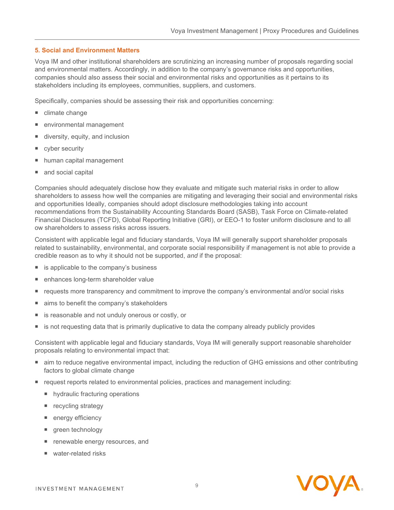#### **5. Social and Environment Matters**

Voya IM and other institutional shareholders are scrutinizing an increasing number of proposals regarding social and environmental matters. Accordingly, in addition to the company's governance risks and opportunities, companies should also assess their social and environmental risks and opportunities as it pertains to its stakeholders including its employees, communities, suppliers, and customers.

Specifically, companies should be assessing their risk and opportunities concerning:

- climate change
- environmental management
- diversity, equity, and inclusion
- cyber security
- human capital management
- and social capital

Companies should adequately disclose how they evaluate and mitigate such material risks in order to allow shareholders to assess how well the companies are mitigating and leveraging their social and environmental risks and opportunities Ideally, companies should adopt disclosure methodologies taking into account recommendations from the Sustainability Accounting Standards Board (SASB), Task Force on Climate-related Financial Disclosures (TCFD), Global Reporting Initiative (GRI), or EEO-1 to foster uniform disclosure and to all ow shareholders to assess risks across issuers.

Consistent with applicable legal and fiduciary standards, Voya IM will generally support shareholder proposals related to sustainability, environmental, and corporate social responsibility if management is not able to provide a credible reason as to why it should not be supported, *and* if the proposal:

- is applicable to the company's business
- enhances long-term shareholder value
- requests more transparency and commitment to improve the company's environmental and/or social risks
- aims to benefit the company's stakeholders
- is reasonable and not unduly onerous or costly, or
- is not requesting data that is primarily duplicative to data the company already publicly provides

Consistent with applicable legal and fiduciary standards, Voya IM will generally support reasonable shareholder proposals relating to environmental impact that:

- aim to reduce negative environmental impact, including the reduction of GHG emissions and other contributing factors to global climate change
- request reports related to environmental policies, practices and management including:
	- hydraulic fracturing operations
	- recycling strategy
	- energy efficiency
	- green technology
	- renewable energy resources, and
	- water-related risks